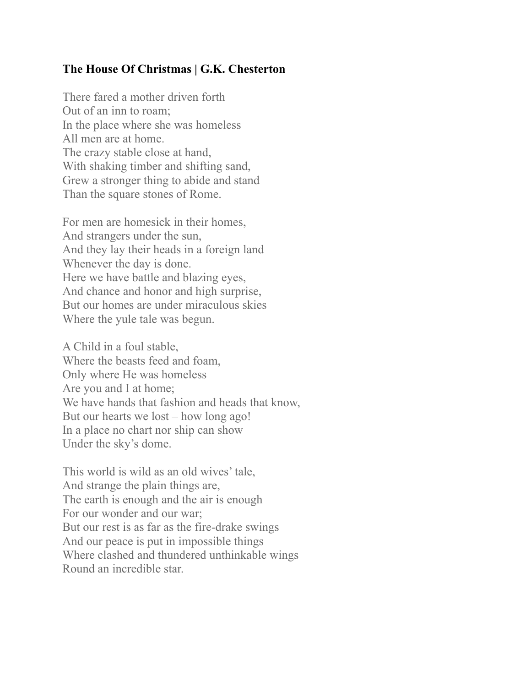## **The House Of Christmas | G.K. Chesterton**

There fared a mother driven forth Out of an inn to roam; In the place where she was homeless All men are at home. The crazy stable close at hand, With shaking timber and shifting sand, Grew a stronger thing to abide and stand Than the square stones of Rome.

For men are homesick in their homes, And strangers under the sun, And they lay their heads in a foreign land Whenever the day is done. Here we have battle and blazing eyes, And chance and honor and high surprise, But our homes are under miraculous skies Where the yule tale was begun.

A Child in a foul stable, Where the beasts feed and foam, Only where He was homeless Are you and I at home; We have hands that fashion and heads that know, But our hearts we lost – how long ago! In a place no chart nor ship can show Under the sky's dome.

This world is wild as an old wives' tale, And strange the plain things are, The earth is enough and the air is enough For our wonder and our war; But our rest is as far as the fire-drake swings And our peace is put in impossible things Where clashed and thundered unthinkable wings Round an incredible star.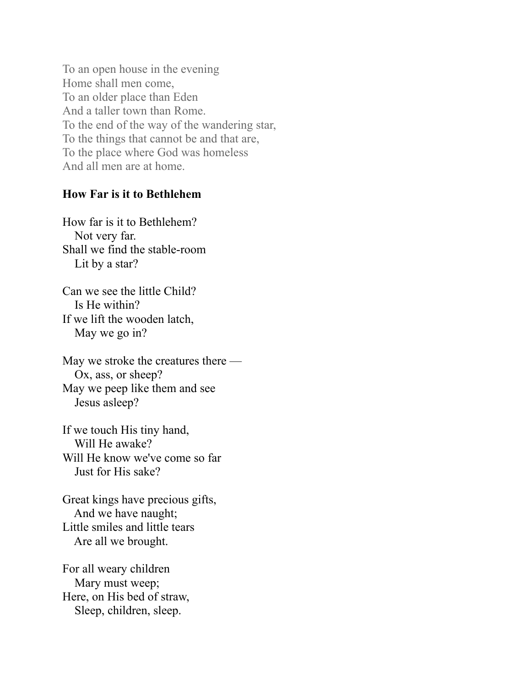To an open house in the evening Home shall men come, To an older place than Eden And a taller town than Rome. To the end of the way of the wandering star, To the things that cannot be and that are, To the place where God was homeless And all men are at home.

### **How Far is it to Bethlehem**

How far is it to Bethlehem? Not very far. Shall we find the stable-room Lit by a star?

Can we see the little Child? Is He within? If we lift the wooden latch, May we go in?

May we stroke the creatures there — Ox, ass, or sheep? May we peep like them and see Jesus asleep?

If we touch His tiny hand, Will He awake? Will He know we've come so far Just for His sake?

Great kings have precious gifts, And we have naught; Little smiles and little tears Are all we brought.

For all weary children Mary must weep; Here, on His bed of straw, Sleep, children, sleep.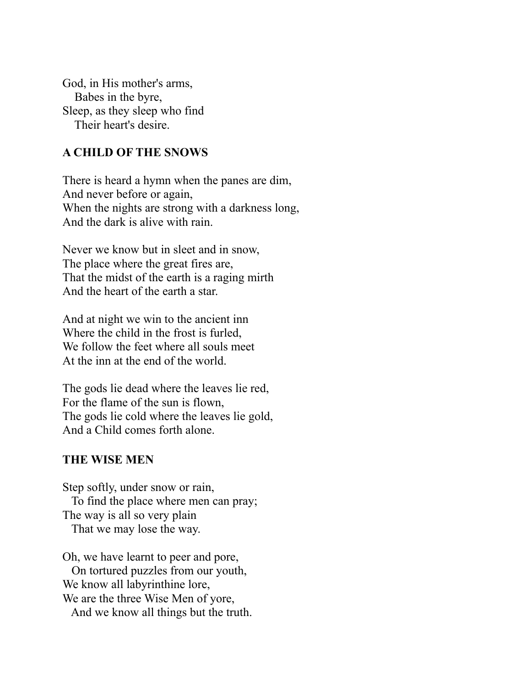God, in His mother's arms, Babes in the byre, Sleep, as they sleep who find Their heart's desire.

### **A CHILD OF THE SNOWS**

There is heard a hymn when the panes are dim, And never before or again, When the nights are strong with a darkness long, And the dark is alive with rain.

Never we know but in sleet and in snow, The place where the great fires are, That the midst of the earth is a raging mirth And the heart of the earth a star.

And at night we win to the ancient inn Where the child in the frost is furled, We follow the feet where all souls meet At the inn at the end of the world.

The gods lie dead where the leaves lie red, For the flame of the sun is flown, The gods lie cold where the leaves lie gold, And a Child comes forth alone.

#### **THE WISE MEN**

Step softly, under snow or rain, To find the place where men can pray; The way is all so very plain That we may lose the way.

Oh, we have learnt to peer and pore, On tortured puzzles from our youth, We know all labyrinthine lore, We are the three Wise Men of yore, And we know all things but the truth.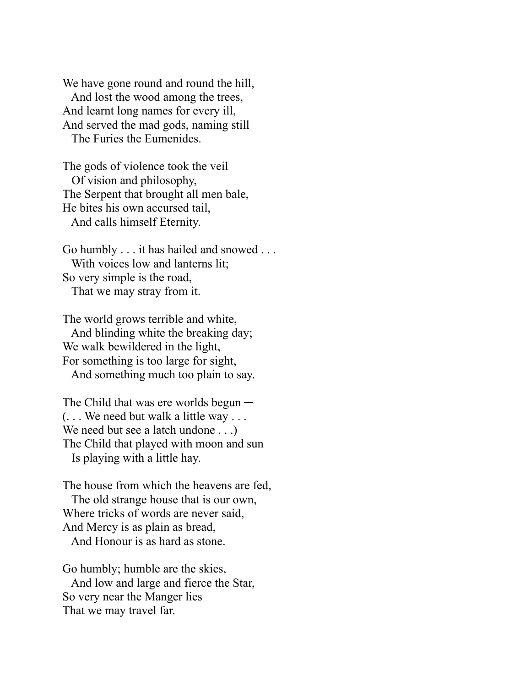We have gone round and round the hill, And lost the wood among the trees, And learnt long names for every ill, And served the mad gods, naming still The Furies the Eumenides.

The gods of violence took the veil Of vision and philosophy, The Serpent that brought all men bale, He bites his own accursed tail, And calls himself Eternity.

Go humbly . . . it has hailed and snowed . . . With voices low and lanterns lit; So very simple is the road, That we may stray from it.

The world grows terrible and white, And blinding white the breaking day; We walk bewildered in the light, For something is too large for sight, And something much too plain to say.

The Child that was ere worlds begun — (. . . We need but walk a little way . . . We need but see a latch undone . . .) The Child that played with moon and sun Is playing with a little hay.

The house from which the heavens are fed, The old strange house that is our own, Where tricks of words are never said, And Mercy is as plain as bread, And Honour is as hard as stone.

Go humbly; humble are the skies, And low and large and fierce the Star, So very near the Manger lies That we may travel far.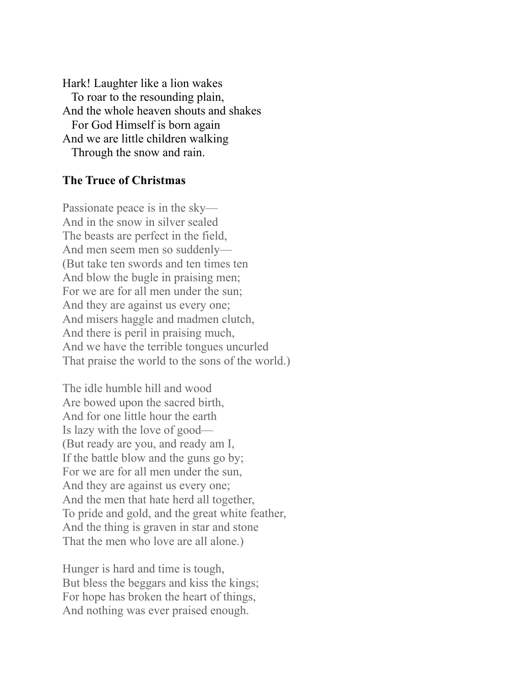Hark! Laughter like a lion wakes To roar to the resounding plain, And the whole heaven shouts and shakes For God Himself is born again And we are little children walking Through the snow and rain.

### **The Truce of Christmas**

Passionate peace is in the sky— And in the snow in silver sealed The beasts are perfect in the field, And men seem men so suddenly— (But take ten swords and ten times ten And blow the bugle in praising men; For we are for all men under the sun; And they are against us every one; And misers haggle and madmen clutch, And there is peril in praising much, And we have the terrible tongues uncurled That praise the world to the sons of the world.)

The idle humble hill and wood Are bowed upon the sacred birth, And for one little hour the earth Is lazy with the love of good— (But ready are you, and ready am I, If the battle blow and the guns go by; For we are for all men under the sun, And they are against us every one; And the men that hate herd all together, To pride and gold, and the great white feather, And the thing is graven in star and stone That the men who love are all alone.)

Hunger is hard and time is tough, But bless the beggars and kiss the kings; For hope has broken the heart of things, And nothing was ever praised enough.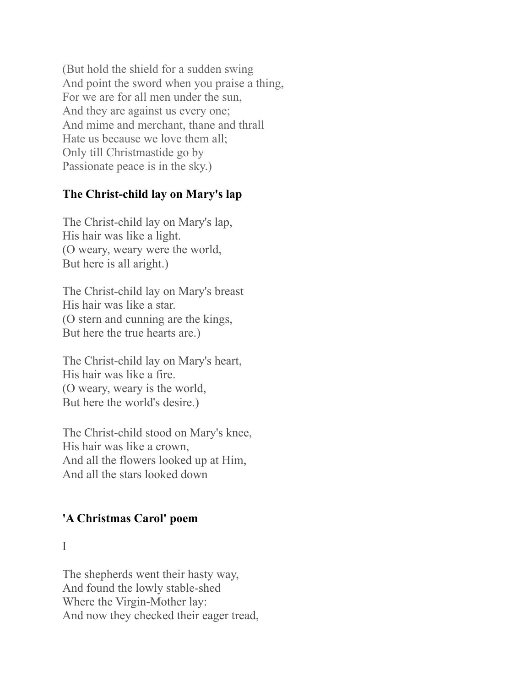(But hold the shield for a sudden swing And point the sword when you praise a thing, For we are for all men under the sun, And they are against us every one; And mime and merchant, thane and thrall Hate us because we love them all; Only till Christmastide go by Passionate peace is in the sky.)

## **The Christ-child lay on Mary's lap**

The Christ-child lay on Mary's lap, His hair was like a light. (O weary, weary were the world, But here is all aright.)

The Christ-child lay on Mary's breast His hair was like a star. (O stern and cunning are the kings, But here the true hearts are.)

The Christ-child lay on Mary's heart, His hair was like a fire. (O weary, weary is the world, But here the world's desire.)

The Christ-child stood on Mary's knee, His hair was like a crown, And all the flowers looked up at Him, And all the stars looked down

## **'A Christmas Carol' poem**

I

The shepherds went their hasty way, And found the lowly stable-shed Where the Virgin-Mother lay: And now they checked their eager tread,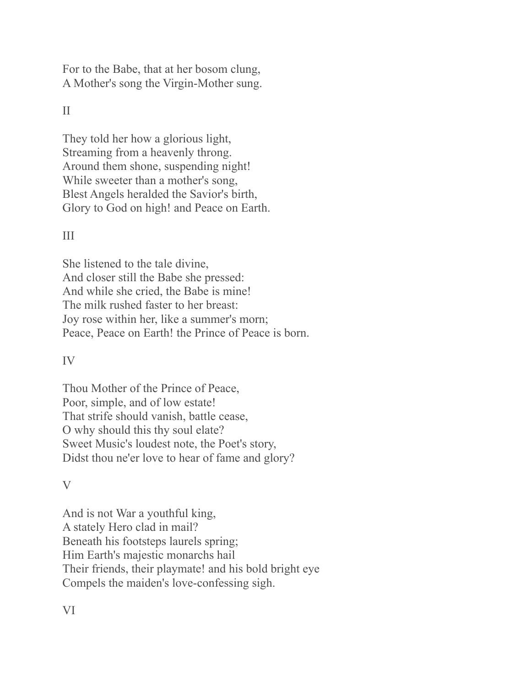For to the Babe, that at her bosom clung, A Mother's song the Virgin-Mother sung.

# II

They told her how a glorious light, Streaming from a heavenly throng. Around them shone, suspending night! While sweeter than a mother's song, Blest Angels heralded the Savior's birth, Glory to God on high! and Peace on Earth.

### III

She listened to the tale divine, And closer still the Babe she pressed: And while she cried, the Babe is mine! The milk rushed faster to her breast: Joy rose within her, like a summer's morn; Peace, Peace on Earth! the Prince of Peace is born.

### IV

Thou Mother of the Prince of Peace, Poor, simple, and of low estate! That strife should vanish, battle cease, O why should this thy soul elate? Sweet Music's loudest note, the Poet's story, Didst thou ne'er love to hear of fame and glory?

### V

And is not War a youthful king, A stately Hero clad in mail? Beneath his footsteps laurels spring; Him Earth's majestic monarchs hail Their friends, their playmate! and his bold bright eye Compels the maiden's love-confessing sigh.

VI